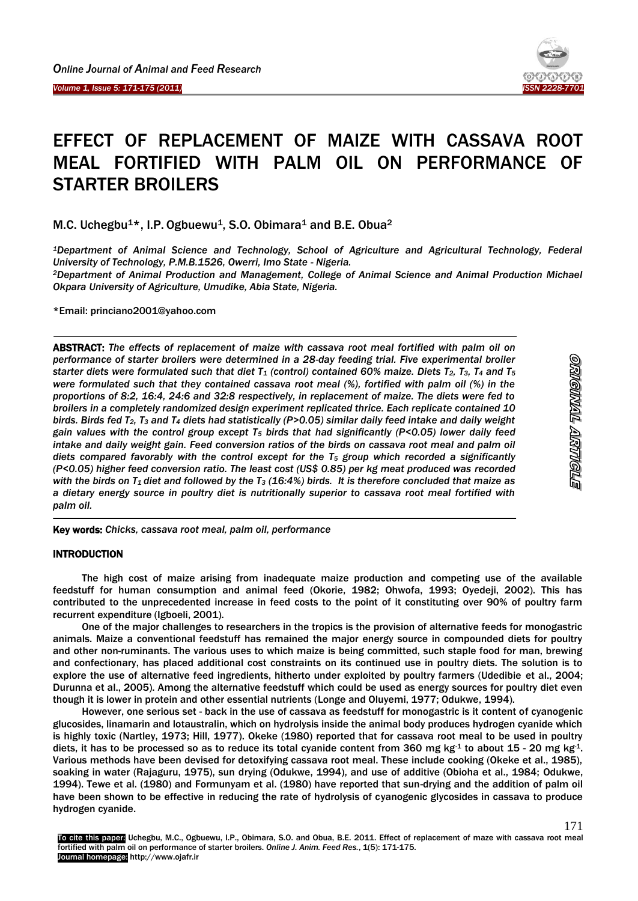



# EFFECT OF REPLACEMENT OF MAIZE WITH CASSAVA ROOT MEAL FORTIFIED WITH PALM OIL ON PERFORMANCE OF STARTER BROILERS

M.C. Uchegbu<sup>1\*</sup>, I.P. Ogbuewu<sup>1</sup>, S.O. Obimara<sup>1</sup> and B.E. Obua<sup>2</sup>

*<sup>1</sup>Department of Animal Science and Technology, School of Agriculture and Agricultural Technology, Federal University of Technology, P.M.B.1526, Owerri, Imo State - Nigeria.*

*<sup>2</sup>Department of Animal Production and Management, College of Animal Science and Animal Production Michael Okpara University of Agriculture, Umudike, Abia State, Nigeria.*

\*Email: princiano2001@yahoo.com

ABSTRACT: *The effects of replacement of maize with cassava root meal fortified with palm oil on performance of starter broilers were determined in a 28-day feeding trial. Five experimental broiler starter diets were formulated such that diet T<sup>1</sup> (control) contained 60% maize. Diets T2, T3, T<sup>4</sup> and T<sup>5</sup> were formulated such that they contained cassava root meal (%), fortified with palm oil (%) in the proportions of 8:2, 16:4, 24:6 and 32:8 respectively, in replacement of maize. The diets were fed to broilers in a completely randomized design experiment replicated thrice. Each replicate contained 10 birds. Birds fed T2, T<sup>3</sup> and T<sup>4</sup> diets had statistically (P>0.05) similar daily feed intake and daily weight gain values with the control group except T<sup>5</sup> birds that had significantly (P<0.05) lower daily feed intake and daily weight gain. Feed conversion ratios of the birds on cassava root meal and palm oil diets compared favorably with the control except for the T<sup>5</sup> group which recorded a significantly (P<0.05) higher feed conversion ratio. The least cost (US\$ 0.85) per kg meat produced was recorded with the birds on T1 diet and followed by the T<sup>3</sup> (16:4%) birds. It is therefore concluded that maize as a dietary energy source in poultry diet is nutritionally superior to cassava root meal fortified with palm oil.*

171

Key words: *Chicks, cassava root meal, palm oil, performance*

#### **INTRODUCTION**

 $\overline{\phantom{a}}$ 

The high cost of maize arising from inadequate maize production and competing use of the available feedstuff for human consumption and animal feed (Okorie, 1982; Ohwofa, 1993; Oyedeji, 2002). This has contributed to the unprecedented increase in feed costs to the point of it constituting over 90% of poultry farm recurrent expenditure (Igboeli, 2001).

One of the major challenges to researchers in the tropics is the provision of alternative feeds for monogastric animals. Maize a conventional feedstuff has remained the major energy source in compounded diets for poultry and other non-ruminants. The various uses to which maize is being committed, such staple food for man, brewing and confectionary, has placed additional cost constraints on its continued use in poultry diets. The solution is to explore the use of alternative feed ingredients, hitherto under exploited by poultry farmers (Udedibie et al., 2004; Durunna et al., 2005). Among the alternative feedstuff which could be used as energy sources for poultry diet even though it is lower in protein and other essential nutrients (Longe and Oluyemi, 1977; Odukwe, 1994).

However, one serious set - back in the use of cassava as feedstuff for monogastric is it content of cyanogenic glucosides, linamarin and lotaustralin, which on hydrolysis inside the animal body produces hydrogen cyanide which is highly toxic (Nartley, 1973; Hill, 1977). Okeke (1980) reported that for cassava root meal to be used in poultry diets, it has to be processed so as to reduce its total cyanide content from 360 mg kg<sup>-1</sup> to about 15 - 20 mg kg<sup>-1</sup>. Various methods have been devised for detoxifying cassava root meal. These include cooking (Okeke et al., 1985), soaking in water (Rajaguru, 1975), sun drying (Odukwe, 1994), and use of additive (Obioha et al., 1984; Odukwe, 1994). Tewe et al. (1980) and Formunyam et al. (1980) have reported that sun-drying and the addition of palm oil have been shown to be effective in reducing the rate of hydrolysis of cyanogenic glycosides in cassava to produce hydrogen cyanide.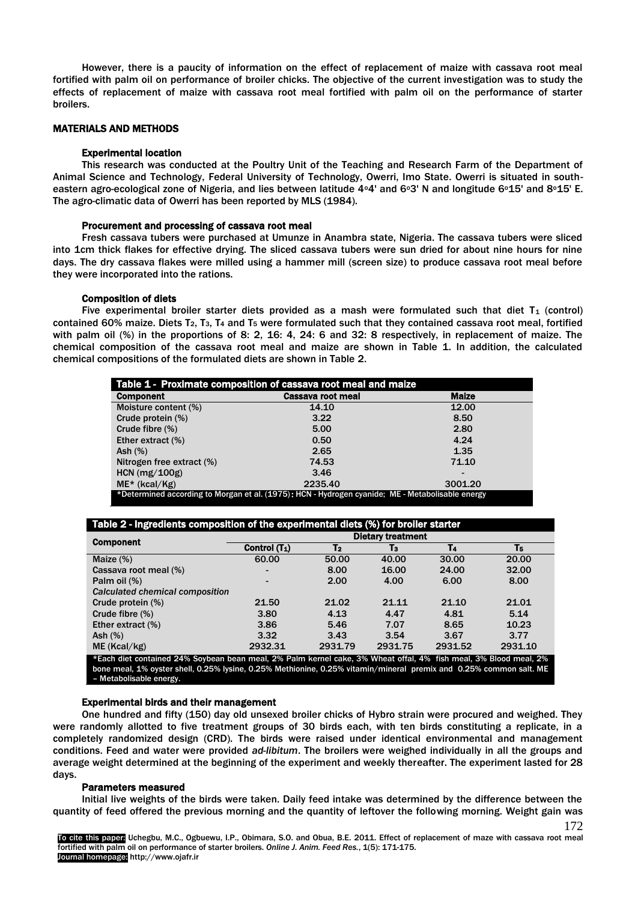However, there is a paucity of information on the effect of replacement of maize with cassava root meal fortified with palm oil on performance of broiler chicks. The objective of the current investigation was to study the effects of replacement of maize with cassava root meal fortified with palm oil on the performance of starter broilers.

#### MATERIALS AND METHODS

#### Experimental location

This research was conducted at the Poultry Unit of the Teaching and Research Farm of the Department of Animal Science and Technology, Federal University of Technology, Owerri, Imo State. Owerri is situated in southeastern agro-ecological zone of Nigeria, and lies between latitude 4<sup>o</sup>4' and 6<sup>o</sup>3' N and longitude 6<sup>o</sup>15' and 8<sup>o</sup>15' E. The agro-climatic data of Owerri has been reported by MLS (1984).

#### Procurement and processing of cassava root meal

Fresh cassava tubers were purchased at Umunze in Anambra state, Nigeria. The cassava tubers were sliced into 1cm thick flakes for effective drying. The sliced cassava tubers were sun dried for about nine hours for nine days. The dry cassava flakes were milled using a hammer mill (screen size) to produce cassava root meal before they were incorporated into the rations.

## Composition of diets

Five experimental broiler starter diets provided as a mash were formulated such that diet  $T_1$  (control) contained 60% maize. Diets T2, T3, T<sup>4</sup> and T<sup>5</sup> were formulated such that they contained cassava root meal, fortified with palm oil (%) in the proportions of 8: 2, 16: 4, 24: 6 and 32: 8 respectively, in replacement of maize. The chemical composition of the cassava root meal and maize are shown in Table 1. In addition, the calculated chemical compositions of the formulated diets are shown in Table 2.

| Table 1 - Proximate composition of cassava root meal and maize                                   |                   |                 |  |  |  |  |  |
|--------------------------------------------------------------------------------------------------|-------------------|-----------------|--|--|--|--|--|
| <b>Component</b>                                                                                 | Cassava root meal | <b>Malze</b>    |  |  |  |  |  |
| Moisture content (%)                                                                             | 14.10             | 12.00           |  |  |  |  |  |
| Crude protein (%)                                                                                | 3.22              | 8.50            |  |  |  |  |  |
| Crude fibre $(\%)$                                                                               | 5.00              | 2.80            |  |  |  |  |  |
| Ether extract (%)                                                                                | 0.50              | 4.24            |  |  |  |  |  |
| Ash $(\%)$                                                                                       | 2.65              | 1.35            |  |  |  |  |  |
| Nitrogen free extract (%)                                                                        | 74.53             | 71.10           |  |  |  |  |  |
| $HCN$ (mg/100g)                                                                                  | 3.46              | $\qquad \qquad$ |  |  |  |  |  |
| $ME*$ (kcal/Kg)                                                                                  | 2235.40           | 3001.20         |  |  |  |  |  |
| *Determined according to Morgan et al. (1975): HCN - Hydrogen cyanide; ME - Metabolisable energy |                   |                 |  |  |  |  |  |

| <b>Component</b>                |                 | <b>Dietary treatment</b> |         |                |         |  |  |  |
|---------------------------------|-----------------|--------------------------|---------|----------------|---------|--|--|--|
|                                 | Control $(T_1)$ | T <sub>2</sub>           | Tз      | T <sub>4</sub> | T5      |  |  |  |
| Maize $(\%)$                    | 60.00           | 50.00                    | 40.00   | 30.00          | 20.00   |  |  |  |
| Cassava root meal (%)           | -               | 8.00                     | 16.00   | 24.00          | 32.00   |  |  |  |
| Palm oil (%)                    | -               | 2.00                     | 4.00    | 6.00           | 8.00    |  |  |  |
| Calculated chemical composition |                 |                          |         |                |         |  |  |  |
| Crude protein (%)               | 21.50           | 21.02                    | 21.11   | 21.10          | 21.01   |  |  |  |
| Crude fibre $(\%)$              | 3.80            | 4.13                     | 4.47    | 4.81           | 5.14    |  |  |  |
| Ether extract $(\%)$            | 3.86            | 5.46                     | 7.07    | 8.65           | 10.23   |  |  |  |
| $\mathsf{Ash}(\%)$              | 3.32            | 3.43                     | 3.54    | 3.67           | 3.77    |  |  |  |
| ME(Kcal/kg)                     | 2932.31         | 2931.79                  | 2931.75 | 2931.52        | 2931.10 |  |  |  |

bone meal, 1% oyster shell, 0.25% lysine, 0.25% Methionine, 0.25% vitamin/mineral premix and 0.25% common salt. ME – Metabolisable energy.

#### Experimental birds and their management

One hundred and fifty (150) day old unsexed broiler chicks of Hybro strain were procured and weighed. They were randomly allotted to five treatment groups of 30 birds each, with ten birds constituting a replicate, in a completely randomized design (CRD). The birds were raised under identical environmental and management conditions. Feed and water were provided *ad-libitum*. The broilers were weighed individually in all the groups and average weight determined at the beginning of the experiment and weekly thereafter. The experiment lasted for 28 days.

#### Parameters measured

Initial live weights of the birds were taken. Daily feed intake was determined by the difference between the quantity of feed offered the previous morning and the quantity of leftover the following morning. Weight gain was

172 To cite this paper: Uchegbu, M.C., Ogbuewu, I.P., Obimara, S.O. and Obua, B.E. 2011. Effect of replacement of maze with cassava root meal fortified with palm oil on performance of starter broilers. *Online J. Anim. Feed Res.*, 1(5): 171-175. Journal homepage: http://www.ojafr.ir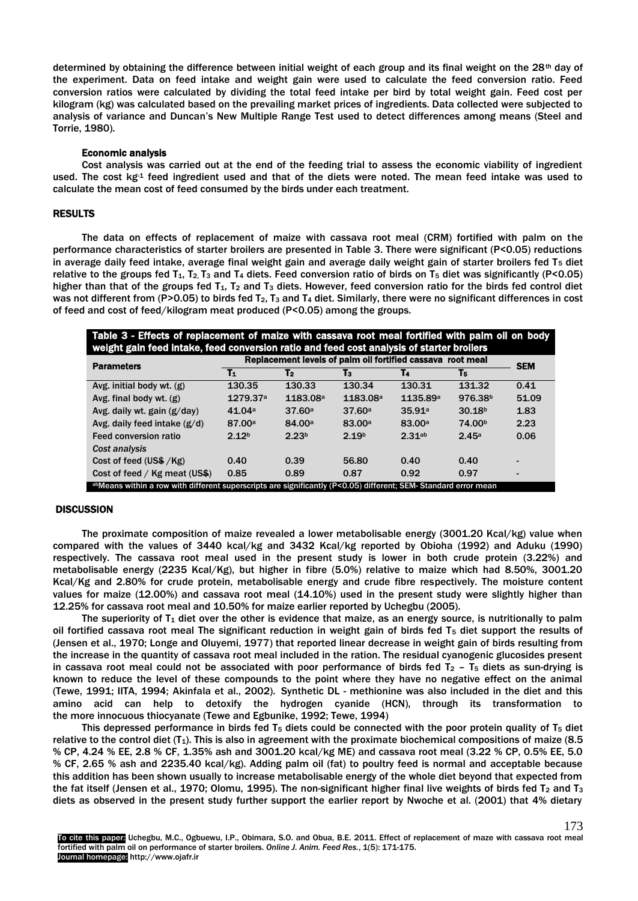determined by obtaining the difference between initial weight of each group and its final weight on the  $28<sup>th</sup>$  day of the experiment. Data on feed intake and weight gain were used to calculate the feed conversion ratio. Feed conversion ratios were calculated by dividing the total feed intake per bird by total weight gain. Feed cost per kilogram (kg) was calculated based on the prevailing market prices of ingredients. Data collected were subjected to analysis of variance and Duncan's New Multiple Range Test used to detect differences among means (Steel and Torrie, 1980).

#### Economic analysis

Cost analysis was carried out at the end of the feeding trial to assess the economic viability of ingredient used. The cost  $kg<sup>4</sup>$  feed ingredient used and that of the diets were noted. The mean feed intake was used to calculate the mean cost of feed consumed by the birds under each treatment.

#### RESULTS

The data on effects of replacement of maize with cassava root meal (CRM) fortified with palm on the performance characteristics of starter broilers are presented in Table 3. There were significant (P<0.05) reductions in average daily feed intake, average final weight gain and average daily weight gain of starter broilers fed  $T_5$  diet relative to the groups fed T<sub>1</sub>, T<sub>2</sub>, T<sub>3</sub> and T<sub>4</sub> diets. Feed conversion ratio of birds on T<sub>5</sub> diet was significantly (P<0.05) higher than that of the groups fed  $T_1$ ,  $T_2$  and  $T_3$  diets. However, feed conversion ratio for the birds fed control diet was not different from (P>0.05) to birds fed  $T_2$ ,  $T_3$  and  $T_4$  diet. Similarly, there were no significant differences in cost of feed and cost of feed/kilogram meat produced (P<0.05) among the groups.

| Table 3 - Effects of replacement of maize with cassava root meal fortified with palm oil on body<br>weight gain feed intake, feed conversion ratio and feed cost analysis of starter broilers |                                                            |                      |                      |                    |                     |            |  |  |
|-----------------------------------------------------------------------------------------------------------------------------------------------------------------------------------------------|------------------------------------------------------------|----------------------|----------------------|--------------------|---------------------|------------|--|--|
| <b>Parameters</b>                                                                                                                                                                             | Replacement levels of palm oil fortified cassava root meal |                      |                      |                    |                     | <b>SEM</b> |  |  |
|                                                                                                                                                                                               | $\mathbf{T}_1$                                             | T <sub>2</sub>       | T3                   | T4                 | T5                  |            |  |  |
| Avg. initial body wt. (g)                                                                                                                                                                     | 130.35                                                     | 130.33               | 130.34               | 130.31             | 131.32              | 0.41       |  |  |
| Avg. final body wt. $(g)$                                                                                                                                                                     | 1279.37 <sup>a</sup>                                       | 1183.08 <sup>a</sup> | 1183.08 <sup>a</sup> | 1135.89a           | 976.38 <sup>b</sup> | 51.09      |  |  |
| Avg. daily wt. gain (g/day)                                                                                                                                                                   | 41.04a                                                     | 37.60a               | 37.60a               | 35.91 <sup>a</sup> | 30.18 <sup>b</sup>  | 1.83       |  |  |
| Avg. daily feed intake $(g/d)$                                                                                                                                                                | 87.00 <sup>a</sup>                                         | 84.00 <sup>a</sup>   | 83.00 <sup>a</sup>   | 83.00a             | 74.00 <sup>b</sup>  | 2.23       |  |  |
| Feed conversion ratio                                                                                                                                                                         | 2.12 <sup>b</sup>                                          | 2.23 <sup>b</sup>    | 2.19 <sup>b</sup>    | 2.31ab             | 2.45a               | 0.06       |  |  |
| Cost analysis                                                                                                                                                                                 |                                                            |                      |                      |                    |                     |            |  |  |
| Cost of feed (US\$ /Kg)                                                                                                                                                                       | 0.40                                                       | 0.39                 | 56.80                | 0.40               | 0.40                |            |  |  |
| Cost of feed / $Kg$ meat (US\$)                                                                                                                                                               | 0.85                                                       | 0.89                 | 0.87                 | 0.92               | 0.97                |            |  |  |
| abMeans within a row with different superscripts are significantly (P<0.05) different; SEM-Standard error mean                                                                                |                                                            |                      |                      |                    |                     |            |  |  |

## **DISCUSSION**

The proximate composition of maize revealed a lower metabolisable energy (3001.20 Kcal/kg) value when compared with the values of 3440 kcal/kg and 3432 Kcal/kg reported by Obioha (1992) and Aduku (1990) respectively. The cassava root meal used in the present study is lower in both crude protein (3.22%) and metabolisable energy (2235 Kcal/Kg), but higher in fibre (5.0%) relative to maize which had 8.50%, 3001.20 Kcal/Kg and 2.80% for crude protein, metabolisable energy and crude fibre respectively. The moisture content values for maize (12.00%) and cassava root meal (14.10%) used in the present study were slightly higher than 12.25% for cassava root meal and 10.50% for maize earlier reported by Uchegbu (2005).

The superiority of  $T_1$  diet over the other is evidence that maize, as an energy source, is nutritionally to palm oil fortified cassava root meal The significant reduction in weight gain of birds fed T<sub>5</sub> diet support the results of (Jensen et al., 1970; Longe and Oluyemi, 1977) that reported linear decrease in weight gain of birds resulting from the increase in the quantity of cassava root meal included in the ration. The residual cyanogenic glucosides present in cassava root meal could not be associated with poor performance of birds fed  $T_2$  – T<sub>5</sub> diets as sun-drying is known to reduce the level of these compounds to the point where they have no negative effect on the animal (Tewe, 1991; IITA, 1994; Akinfala et al., 2002). Synthetic DL - methionine was also included in the diet and this amino acid can help to detoxify the hydrogen cyanide (HCN), through its transformation to the more innocuous thiocyanate (Tewe and Egbunike, 1992; Tewe, 1994)

This depressed performance in birds fed  $T_5$  diets could be connected with the poor protein quality of  $T_5$  diet relative to the control diet  $(T_1)$ . This is also in agreement with the proximate biochemical compositions of maize  $(8.5)$ % CP, 4.24 % EE, 2.8 % CF, 1.35% ash and 3001.20 kcal/kg ME) and cassava root meal (3.22 % CP, 0.5% EE, 5.0 % CF, 2.65 % ash and 2235.40 kcal/kg). Adding palm oil (fat) to poultry feed is normal and acceptable because this addition has been shown usually to increase metabolisable energy of the whole diet beyond that expected from the fat itself (Jensen et al., 1970; Olomu, 1995). The non-significant higher final live weights of birds fed T<sub>2</sub> and T<sub>3</sub> diets as observed in the present study further support the earlier report by Nwoche et al. (2001) that 4% dietary

173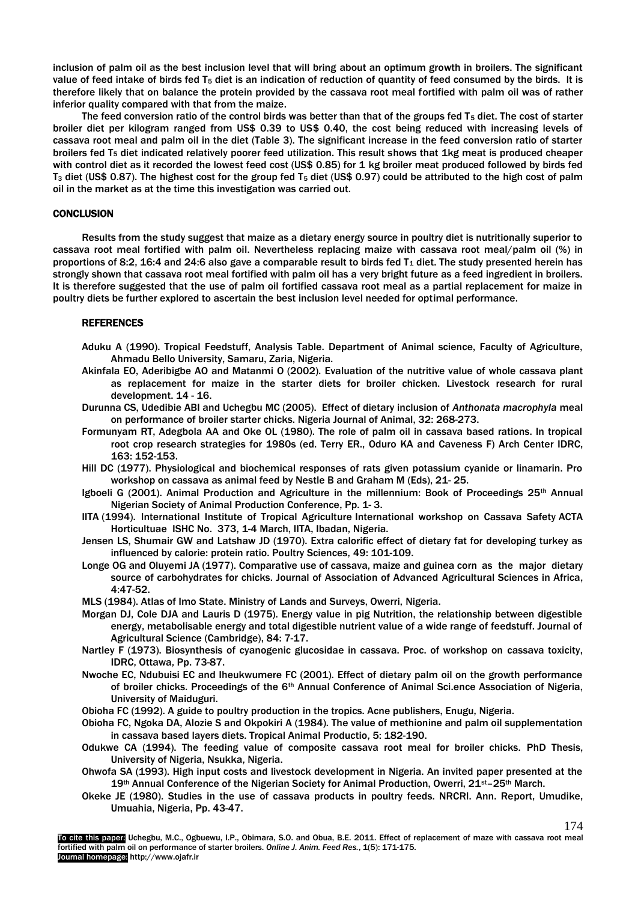inclusion of palm oil as the best inclusion level that will bring about an optimum growth in broilers. The significant value of feed intake of birds fed T<sub>5</sub> diet is an indication of reduction of quantity of feed consumed by the birds. It is therefore likely that on balance the protein provided by the cassava root meal fortified with palm oil was of rather inferior quality compared with that from the maize.

The feed conversion ratio of the control birds was better than that of the groups fed T<sub>5</sub> diet. The cost of starter broiler diet per kilogram ranged from US\$ 0.39 to US\$ 0.40, the cost being reduced with increasing levels of cassava root meal and palm oil in the diet (Table 3). The significant increase in the feed conversion ratio of starter broilers fed  $T_5$  diet indicated relatively poorer feed utilization. This result shows that 1kg meat is produced cheaper with control diet as it recorded the lowest feed cost (US\$ 0.85) for 1 kg broiler meat produced followed by birds fed T<sup>3</sup> diet (US\$ 0.87). The highest cost for the group fed T<sup>5</sup> diet (US\$ 0.97) could be attributed to the high cost of palm oil in the market as at the time this investigation was carried out.

## **CONCLUSION**

Results from the study suggest that maize as a dietary energy source in poultry diet is nutritionally superior to cassava root meal fortified with palm oil. Nevertheless replacing maize with cassava root meal/palm oil (%) in proportions of 8:2, 16:4 and 24:6 also gave a comparable result to birds fed  $T_1$  diet. The study presented herein has strongly shown that cassava root meal fortified with palm oil has a very bright future as a feed ingredient in broilers. It is therefore suggested that the use of palm oil fortified cassava root meal as a partial replacement for maize in poultry diets be further explored to ascertain the best inclusion level needed for optimal performance.

# **REFERENCES**

- Aduku A (1990). Tropical Feedstuff, Analysis Table. Department of Animal science, Faculty of Agriculture, Ahmadu Bello University, Samaru, Zaria, Nigeria.
- Akinfala EO, Aderibigbe AO and Matanmi O (2002). Evaluation of the nutritive value of whole cassava plant as replacement for maize in the starter diets for broiler chicken. Livestock research for rural development. 14 - 16.
- Durunna CS, Udedibie ABI and Uchegbu MC (2005). Effect of dietary inclusion of *Anthonata macrophyla* meal on performance of broiler starter chicks. Nigeria Journal of Animal, 32: 268-273.
- Formunyam RT, Adegbola AA and Oke OL (1980). The role of palm oil in cassava based rations. In tropical root crop research strategies for 1980s (ed. Terry ER., Oduro KA and Caveness F) Arch Center IDRC, 163: 152-153.
- Hill DC (1977). Physiological and biochemical responses of rats given potassium cyanide or linamarin. Pro workshop on cassava as animal feed by Nestle B and Graham M (Eds), 21- 25.
- Igboeli G (2001). Animal Production and Agriculture in the millennium: Book of Proceedings 25<sup>th</sup> Annual Nigerian Society of Animal Production Conference, Pp. 1- 3.
- IITA (1994). International Institute of Tropical Agriculture International workshop on Cassava Safety ACTA Horticultuae ISHC No. 373, 1-4 March, IITA, Ibadan, Nigeria.
- Jensen LS, Shumair GW and Latshaw JD (1970). Extra calorific effect of dietary fat for developing turkey as influenced by calorie: protein ratio. Poultry Sciences, 49: 101-109.
- Longe OG and Oluyemi JA (1977). Comparative use of cassava, maize and guinea corn as the major dietary source of carbohydrates for chicks. Journal of Association of Advanced Agricultural Sciences in Africa, 4:47-52.
- MLS (1984). Atlas of Imo State. Ministry of Lands and Surveys, Owerri, Nigeria.
- Morgan DJ, Cole DJA and Lauris D (1975). Energy value in pig Nutrition, the relationship between digestible energy, metabolisable energy and total digestible nutrient value of a wide range of feedstuff. Journal of Agricultural Science (Cambridge), 84: 7-17.
- Nartley F (1973). Biosynthesis of cyanogenic glucosidae in cassava. Proc. of workshop on cassava toxicity, IDRC, Ottawa, Pp. 73-87.
- Nwoche EC, Ndubuisi EC and Iheukwumere FC (2001). Effect of dietary palm oil on the growth performance of broiler chicks. Proceedings of the 6th Annual Conference of Animal Sci.ence Association of Nigeria, University of Maiduguri.
- Obioha FC (1992). A guide to poultry production in the tropics. Acne publishers, Enugu, Nigeria.
- Obioha FC, Ngoka DA, Alozie S and Okpokiri A (1984). The value of methionine and palm oil supplementation in cassava based layers diets. Tropical Animal Productio, 5: 182-190.
- Odukwe CA (1994). The feeding value of composite cassava root meal for broiler chicks. PhD Thesis, University of Nigeria, Nsukka, Nigeria.
- Ohwofa SA (1993). High input costs and livestock development in Nigeria. An invited paper presented at the 19th Annual Conference of the Nigerian Society for Animal Production, Owerri, 21st–25th March.
- Okeke JE (1980). Studies in the use of cassava products in poultry feeds. NRCRI. Ann. Report, Umudike, Umuahia, Nigeria, Pp. 43-47.